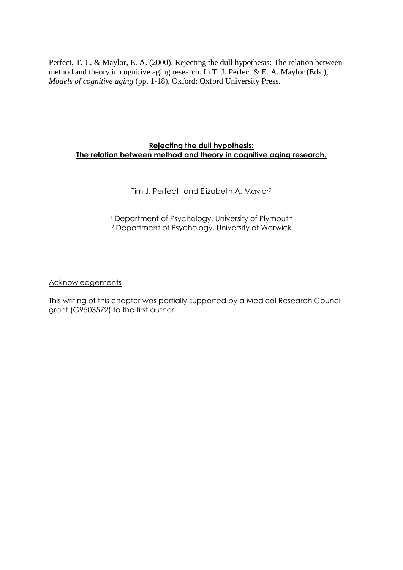Perfect, T. J., & Maylor, E. A. (2000). Rejecting the dull hypothesis: The relation between method and theory in cognitive aging research. In T. J. Perfect & E. A. Maylor (Eds.), *Models of cognitive aging* (pp. 1-18). Oxford: Oxford University Press.

# **Rejecting the dull hypothesis: The relation between method and theory in cognitive aging research.**

Tim J. Perfect<sup>1</sup> and Elizabeth A. Maylor<sup>2</sup>

<sup>1</sup> Department of Psychology, University of Plymouth <sup>2</sup> Department of Psychology, University of Warwick

# **Acknowledgements**

This writing of this chapter was partially supported by a Medical Research Council grant (G9503572) to the first author.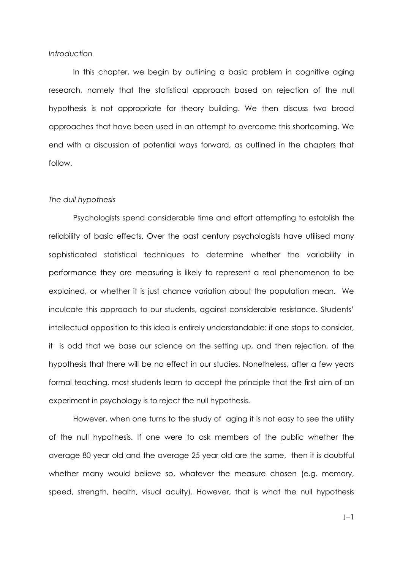#### *Introduction*

In this chapter, we begin by outlining a basic problem in cognitive aging research, namely that the statistical approach based on rejection of the null hypothesis is not appropriate for theory building. We then discuss two broad approaches that have been used in an attempt to overcome this shortcoming. We end with a discussion of potential ways forward, as outlined in the chapters that follow.

### *The dull hypothesis*

Psychologists spend considerable time and effort attempting to establish the reliability of basic effects. Over the past century psychologists have utilised many sophisticated statistical techniques to determine whether the variability in performance they are measuring is likely to represent a real phenomenon to be explained, or whether it is just chance variation about the population mean. We inculcate this approach to our students, against considerable resistance. Students" intellectual opposition to this idea is entirely understandable: if one stops to consider, it is odd that we base our science on the setting up, and then rejection, of the hypothesis that there will be no effect in our studies. Nonetheless, after a few years formal teaching, most students learn to accept the principle that the first aim of an experiment in psychology is to reject the null hypothesis.

However, when one turns to the study of aging it is not easy to see the utility of the null hypothesis. If one were to ask members of the public whether the average 80 year old and the average 25 year old are the same, then it is doubtful whether many would believe so, whatever the measure chosen (e.g. memory, speed, strength, health, visual acuity). However, that is what the null hypothesis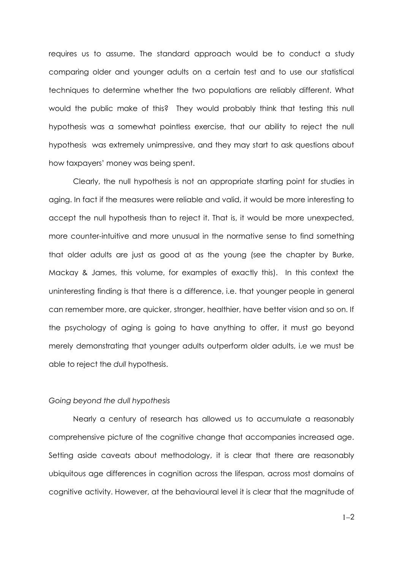requires us to assume. The standard approach would be to conduct a study comparing older and younger adults on a certain test and to use our statistical techniques to determine whether the two populations are reliably different. What would the public make of this? They would probably think that testing this null hypothesis was a somewhat pointless exercise, that our ability to reject the null hypothesis was extremely unimpressive, and they may start to ask questions about how taxpayers" money was being spent.

Clearly, the null hypothesis is not an appropriate starting point for studies in aging. In fact if the measures were reliable and valid, it would be more interesting to accept the null hypothesis than to reject it. That is, it would be more unexpected, more counter-intuitive and more unusual in the normative sense to find something that older adults are just as good at as the young (see the chapter by Burke, Mackay & James, this volume, for examples of exactly this). In this context the uninteresting finding is that there is a difference, i.e. that younger people in general can remember more, are quicker, stronger, healthier, have better vision and so on. If the psychology of aging is going to have anything to offer, it must go beyond merely demonstrating that younger adults outperform older adults, i.e we must be able to reject the *dull* hypothesis.

### *Going beyond the dull hypothesis*

Nearly a century of research has allowed us to accumulate a reasonably comprehensive picture of the cognitive change that accompanies increased age. Setting aside caveats about methodology, it is clear that there are reasonably ubiquitous age differences in cognition across the lifespan, across most domains of cognitive activity. However, at the behavioural level it is clear that the magnitude of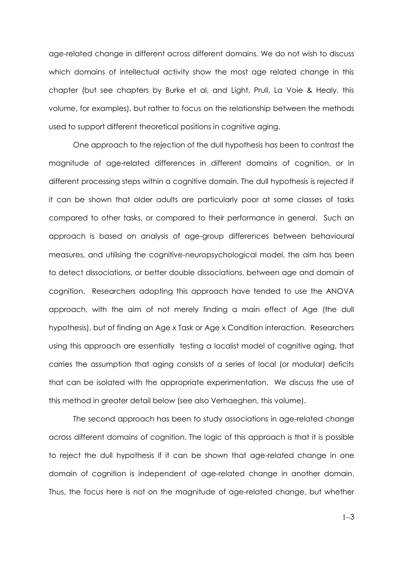age-related change in different across different domains. We do not wish to discuss which domains of intellectual activity show the most age related change in this chapter (but see chapters by Burke et al, and Light, Prull, La Voie & Healy, this volume, for examples), but rather to focus on the relationship between the methods used to support different theoretical positions in cognitive aging.

One approach to the rejection of the dull hypothesis has been to contrast the magnitude of age-related differences in different domains of cognition, or in different processing steps within a cognitive domain. The dull hypothesis is rejected if it can be shown that older adults are particularly poor at some classes of tasks compared to other tasks, or compared to their performance in general. Such an approach is based on analysis of age-group differences between behavioural measures, and utilising the cognitive-neuropsychological model, the aim has been to detect dissociations, or better double dissociations, between age and domain of cognition. Researchers adopting this approach have tended to use the ANOVA approach, with the aim of not merely finding a main effect of Age (the dull hypothesis), but of finding an Age x Task or Age x Condition interaction. Researchers using this approach are essentially testing a localist model of cognitive aging, that carries the assumption that aging consists of a series of local (or modular) deficits that can be isolated with the appropriate experimentation. We discuss the use of this method in greater detail below (see also Verhaeghen, this volume).

The second approach has been to study associations in age-related change across different domains of cognition. The logic of this approach is that it is possible to reject the dull hypothesis if it can be shown that age-related change in one domain of cognition is independent of age-related change in another domain. Thus, the focus here is not on the magnitude of age-related change, but whether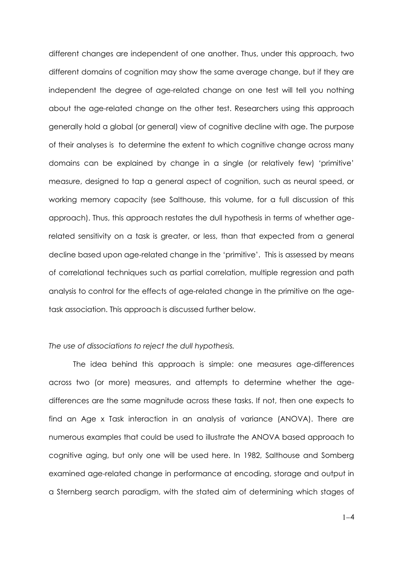different changes are independent of one another. Thus, under this approach, two different domains of cognition may show the same average change, but if they are independent the degree of age-related change on one test will tell you nothing about the age-related change on the other test. Researchers using this approach generally hold a global (or general) view of cognitive decline with age. The purpose of their analyses is to determine the extent to which cognitive change across many domains can be explained by change in a single (or relatively few) "primitive" measure, designed to tap a general aspect of cognition, such as neural speed, or working memory capacity (see Salthouse, this volume, for a full discussion of this approach). Thus, this approach restates the dull hypothesis in terms of whether agerelated sensitivity on a task is greater, or less, than that expected from a general decline based upon age-related change in the "primitive". This is assessed by means of correlational techniques such as partial correlation, multiple regression and path analysis to control for the effects of age-related change in the primitive on the agetask association. This approach is discussed further below.

## *The use of dissociations to reject the dull hypothesis.*

The idea behind this approach is simple: one measures age-differences across two (or more) measures, and attempts to determine whether the agedifferences are the same magnitude across these tasks. If not, then one expects to find an Age x Task interaction in an analysis of variance (ANOVA). There are numerous examples that could be used to illustrate the ANOVA based approach to cognitive aging, but only one will be used here. In 1982, Salthouse and Somberg examined age-related change in performance at encoding, storage and output in a Sternberg search paradigm, with the stated aim of determining which stages of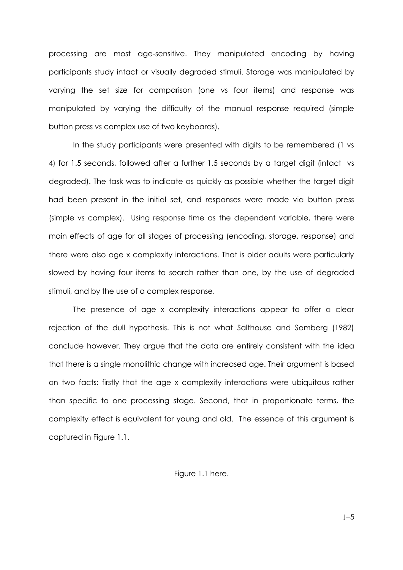processing are most age-sensitive. They manipulated encoding by having participants study intact or visually degraded stimuli. Storage was manipulated by varying the set size for comparison (one vs four items) and response was manipulated by varying the difficulty of the manual response required (simple button press vs complex use of two keyboards).

In the study participants were presented with digits to be remembered (1 vs 4) for 1.5 seconds, followed after a further 1.5 seconds by a target digit (intact vs degraded). The task was to indicate as quickly as possible whether the target digit had been present in the initial set, and responses were made via button press (simple vs complex). Using response time as the dependent variable, there were main effects of age for all stages of processing (encoding, storage, response) and there were also age x complexity interactions. That is older adults were particularly slowed by having four items to search rather than one, by the use of degraded stimuli, and by the use of a complex response.

The presence of age x complexity interactions appear to offer a clear rejection of the dull hypothesis. This is not what Salthouse and Somberg (1982) conclude however. They argue that the data are entirely consistent with the idea that there is a single monolithic change with increased age. Their argument is based on two facts: firstly that the age x complexity interactions were ubiquitous rather than specific to one processing stage. Second, that in proportionate terms, the complexity effect is equivalent for young and old. The essence of this argument is captured in Figure 1.1.

Figure 1.1 here.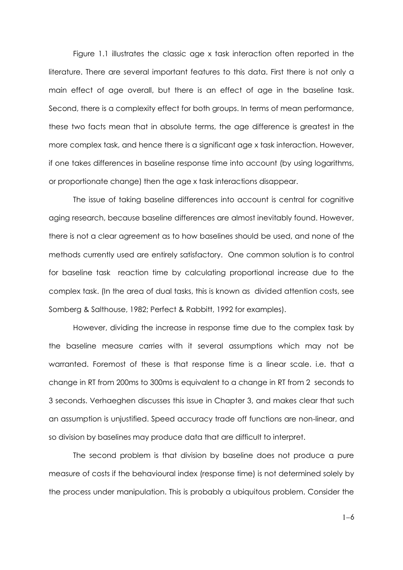Figure 1.1 illustrates the classic age x task interaction often reported in the literature. There are several important features to this data. First there is not only a main effect of age overall, but there is an effect of age in the baseline task. Second, there is a complexity effect for both groups. In terms of mean performance, these two facts mean that in absolute terms, the age difference is greatest in the more complex task, and hence there is a significant age x task interaction. However, if one takes differences in baseline response time into account (by using logarithms, or proportionate change) then the age x task interactions disappear.

The issue of taking baseline differences into account is central for cognitive aging research, because baseline differences are almost inevitably found. However, there is not a clear agreement as to how baselines should be used, and none of the methods currently used are entirely satisfactory. One common solution is to control for baseline task reaction time by calculating proportional increase due to the complex task. (In the area of dual tasks, this is known as divided attention costs, see Somberg & Salthouse, 1982; Perfect & Rabbitt, 1992 for examples).

However, dividing the increase in response time due to the complex task by the baseline measure carries with it several assumptions which may not be warranted. Foremost of these is that response time is a linear scale. i.e. that a change in RT from 200ms to 300ms is equivalent to a change in RT from 2 seconds to 3 seconds. Verhaeghen discusses this issue in Chapter 3, and makes clear that such an assumption is unjustified. Speed accuracy trade off functions are non-linear, and so division by baselines may produce data that are difficult to interpret.

The second problem is that division by baseline does not produce a pure measure of costs if the behavioural index (response time) is not determined solely by the process under manipulation. This is probably a ubiquitous problem. Consider the

 $1 - 6$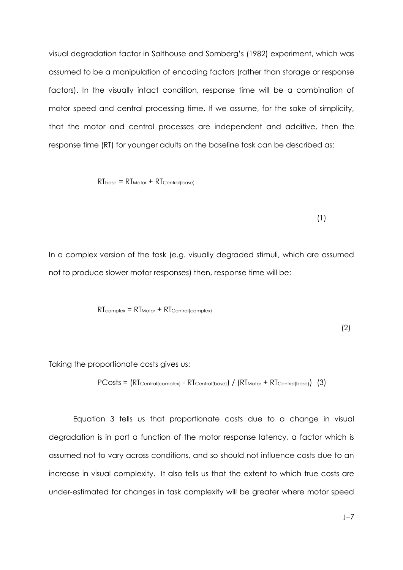visual degradation factor in Salthouse and Somberg"s (1982) experiment, which was assumed to be a manipulation of encoding factors (rather than storage or response factors). In the visually intact condition, response time will be a combination of motor speed and central processing time. If we assume, for the sake of simplicity, that the motor and central processes are independent and additive, then the response time (RT) for younger adults on the baseline task can be described as:

 $RT_{base} = RT_{Motor} + RT_{Central(base)}$ 

(1)

In a complex version of the task (e.g. visually degraded stimuli, which are assumed not to produce slower motor responses) then, response time will be:

 $RT_{complex} = RT_{Motor} + RT_{Central(complex)}$ 

(2)

Taking the proportionate costs gives us:

PCosts = (RT<sub>Central</sub>(complex) - RT<sub>Central</sub>(base)) / (RT<sub>Motor</sub> + RT<sub>Central</sub>(base)) (3)

Equation 3 tells us that proportionate costs due to a change in visual degradation is in part a function of the motor response latency, a factor which is assumed not to vary across conditions, and so should not influence costs due to an increase in visual complexity. It also tells us that the extent to which true costs are under-estimated for changes in task complexity will be greater where motor speed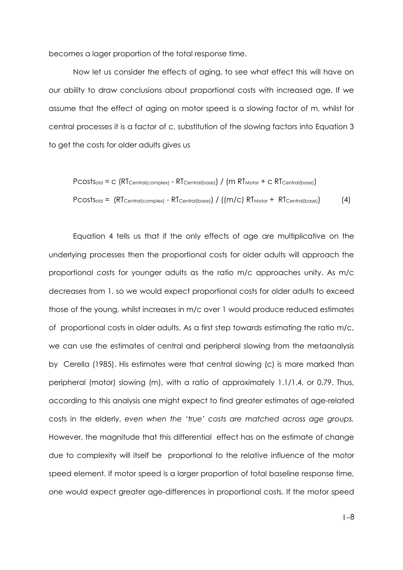becomes a lager proportion of the total response time.

Now let us consider the effects of aging, to see what effect this will have on our ability to draw conclusions about proportional costs with increased age. If we assume that the effect of aging on motor speed is a slowing factor of m, whilst for central processes it is a factor of c, substitution of the slowing factors into Equation 3 to get the costs for older adults gives us

 $Pcost_{old} = c (RT_{Central(complex)} - RT_{Central(base)}) / (m RT_{Motor} + c RT_{Central(base)})$ 

 $Pcost_{old} = (RT_{Central(complex)} - RT_{Central(base)}) / ((m/c) RT_{Motor} + RT_{Central(base)})$  (4)

Equation 4 tells us that if the only effects of age are multiplicative on the underlying processes then the proportional costs for older adults will approach the proportional costs for younger adults as the ratio m/c approaches unity. As m/c decreases from 1, so we would expect proportional costs for older adults to exceed those of the young, whilst increases in m/c over 1 would produce reduced estimates of proportional costs in older adults. As a first step towards estimating the ratio m/c, we can use the estimates of central and peripheral slowing from the metaanalysis by Cerella (1985). His estimates were that central slowing (c) is more marked than peripheral (motor) slowing (m), with a ratio of approximately 1.1/1.4, or 0.79. Thus, according to this analysis one might expect to find greater estimates of age-related costs in the elderly, *even when the 'true' costs are matched across age groups.*  However, the magnitude that this differential effect has on the estimate of change due to complexity will itself be proportional to the relative influence of the motor speed element. If motor speed is a larger proportion of total baseline response time, one would expect greater age-differences in proportional costs. If the motor speed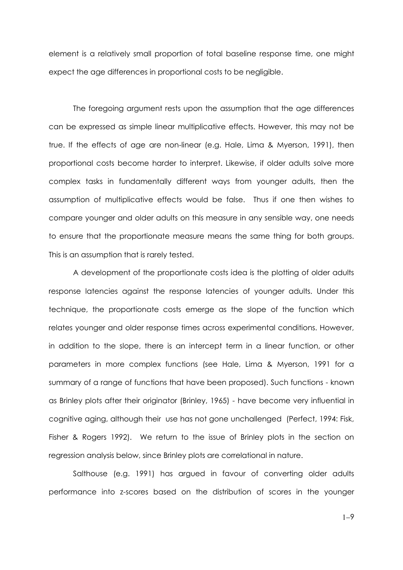element is a relatively small proportion of total baseline response time, one might expect the age differences in proportional costs to be negligible.

The foregoing argument rests upon the assumption that the age differences can be expressed as simple linear multiplicative effects. However, this may not be true. If the effects of age are non-linear (e.g. Hale, Lima & Myerson, 1991), then proportional costs become harder to interpret. Likewise, if older adults solve more complex tasks in fundamentally different ways from younger adults, then the assumption of multiplicative effects would be false. Thus if one then wishes to compare younger and older adults on this measure in any sensible way, one needs to ensure that the proportionate measure means the same thing for both groups. This is an assumption that is rarely tested.

A development of the proportionate costs idea is the plotting of older adults response latencies against the response latencies of younger adults. Under this technique, the proportionate costs emerge as the slope of the function which relates younger and older response times across experimental conditions. However, in addition to the slope, there is an intercept term in a linear function, or other parameters in more complex functions (see Hale, Lima & Myerson, 1991 for a summary of a range of functions that have been proposed). Such functions - known as Brinley plots after their originator (Brinley, 1965) - have become very influential in cognitive aging, although their use has not gone unchallenged (Perfect, 1994: Fisk, Fisher & Rogers 1992). We return to the issue of Brinley plots in the section on regression analysis below, since Brinley plots are correlational in nature.

Salthouse (e.g. 1991) has argued in favour of converting older adults performance into z-scores based on the distribution of scores in the younger

 $1 - 9$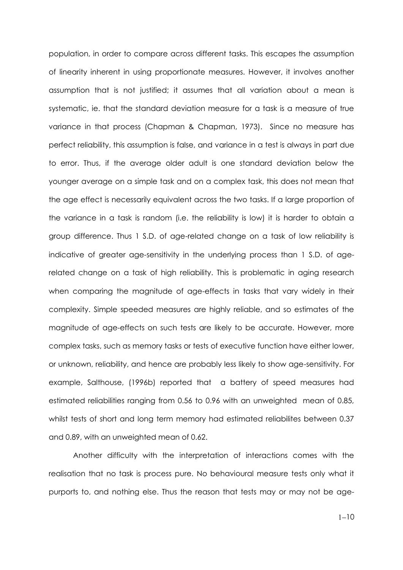population, in order to compare across different tasks. This escapes the assumption of linearity inherent in using proportionate measures. However, it involves another assumption that is not justified; it assumes that all variation about a mean is systematic, ie. that the standard deviation measure for a task is a measure of true variance in that process (Chapman & Chapman, 1973). Since no measure has perfect reliability, this assumption is false, and variance in a test is always in part due to error. Thus, if the average older adult is one standard deviation below the younger average on a simple task and on a complex task, this does not mean that the age effect is necessarily equivalent across the two tasks. If a large proportion of the variance in a task is random (i.e. the reliability is low) it is harder to obtain a group difference. Thus 1 S.D. of age-related change on a task of low reliability is indicative of greater age-sensitivity in the underlying process than 1 S.D. of agerelated change on a task of high reliability. This is problematic in aging research when comparing the magnitude of age-effects in tasks that vary widely in their complexity. Simple speeded measures are highly reliable, and so estimates of the magnitude of age-effects on such tests are likely to be accurate. However, more complex tasks, such as memory tasks or tests of executive function have either lower, or unknown, reliability, and hence are probably less likely to show age-sensitivity. For example, Salthouse, (1996b) reported that a battery of speed measures had estimated reliabilities ranging from 0.56 to 0.96 with an unweighted mean of 0.85, whilst tests of short and long term memory had estimated reliabilites between 0.37 and 0.89, with an unweighted mean of 0.62.

Another difficulty with the interpretation of interactions comes with the realisation that no task is process pure. No behavioural measure tests only what it purports to, and nothing else. Thus the reason that tests may or may not be age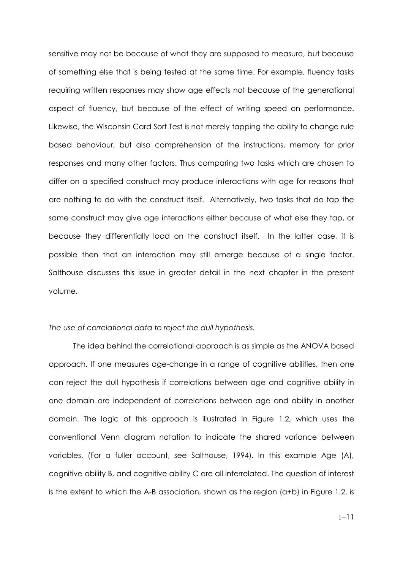sensitive may not be because of what they are supposed to measure, but because of something else that is being tested at the same time. For example, fluency tasks requiring written responses may show age effects not because of the generational aspect of fluency, but because of the effect of writing speed on performance. Likewise, the Wisconsin Card Sort Test is not merely tapping the ability to change rule based behaviour, but also comprehension of the instructions, memory for prior responses and many other factors. Thus comparing two tasks which are chosen to differ on a specified construct may produce interactions with age for reasons that are nothing to do with the construct itself. Alternatively, two tasks that do tap the same construct may give age interactions either because of what else they tap, or because they differentially load on the construct itself. In the latter case, it is possible then that an interaction may still emerge because of a single factor. Salthouse discusses this issue in greater detail in the next chapter in the present volume.

#### *The use of correlational data to reject the dull hypothesis.*

The idea behind the correlational approach is as simple as the ANOVA based approach. If one measures age-change in a range of cognitive abilities, then one can reject the dull hypothesis if correlations between age and cognitive ability in one domain are independent of correlations between age and ability in another domain. The logic of this approach is illustrated in Figure 1.2, which uses the conventional Venn diagram notation to indicate the shared variance between variables. (For a fuller account, see Salthouse, 1994). In this example Age (A), cognitive ability B, and cognitive ability C are all interrelated. The question of interest is the extent to which the A-B association, shown as the region  $(a+b)$  in Figure 1.2, is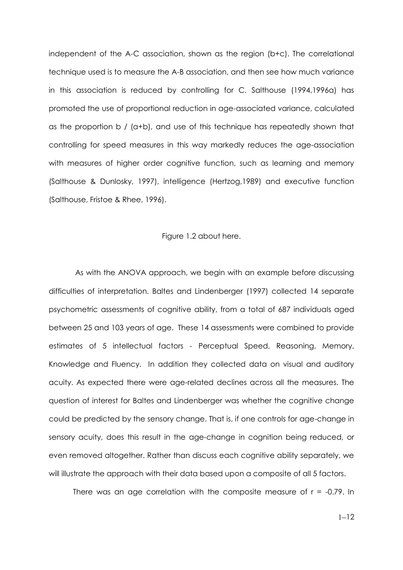independent of the A-C association, shown as the region (b+c). The correlational technique used is to measure the A-B association, and then see how much variance in this association is reduced by controlling for C. Salthouse (1994,1996a) has promoted the use of proportional reduction in age-associated variance, calculated as the proportion b / (a+b), and use of this technique has repeatedly shown that controlling for speed measures in this way markedly reduces the age-association with measures of higher order cognitive function, such as learning and memory (Salthouse & Dunlosky, 1997), intelligence (Hertzog,1989) and executive function (Salthouse, Fristoe & Rhee, 1996).

#### Figure 1.2 about here.

As with the ANOVA approach, we begin with an example before discussing difficulties of interpretation. Baltes and Lindenberger (1997) collected 14 separate psychometric assessments of cognitive ability, from a total of 687 individuals aged between 25 and 103 years of age. These 14 assessments were combined to provide estimates of 5 intellectual factors - Perceptual Speed, Reasoning, Memory, Knowledge and Fluency. In addition they collected data on visual and auditory acuity. As expected there were age-related declines across all the measures. The question of interest for Baltes and Lindenberger was whether the cognitive change could be predicted by the sensory change. That is, if one controls for age-change in sensory acuity, does this result in the age-change in cognition being reduced, or even removed altogether. Rather than discuss each cognitive ability separately, we will illustrate the approach with their data based upon a composite of all 5 factors.

There was an age correlation with the composite measure of  $r = -0.79$ . In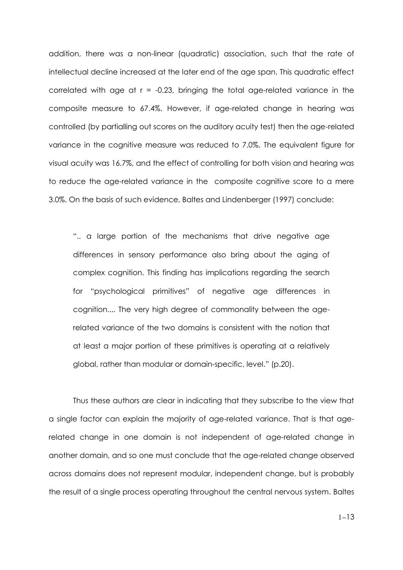addition, there was a non-linear (quadratic) association, such that the rate of intellectual decline increased at the later end of the age span. This quadratic effect correlated with age at  $r = -0.23$ , bringing the total age-related variance in the composite measure to 67.4%. However, if age-related change in hearing was controlled (by partialling out scores on the auditory acuity test) then the age-related variance in the cognitive measure was reduced to 7.0%. The equivalent figure for visual acuity was 16.7%, and the effect of controlling for both vision and hearing was to reduce the age-related variance in the composite cognitive score to a mere 3.0%. On the basis of such evidence, Baltes and Lindenberger (1997) conclude:

".. a large portion of the mechanisms that drive negative age differences in sensory performance also bring about the aging of complex cognition. This finding has implications regarding the search for "psychological primitives" of negative age differences in cognition.... The very high degree of commonality between the agerelated variance of the two domains is consistent with the notion that at least a major portion of these primitives is operating at a relatively global, rather than modular or domain-specific, level." (p.20).

Thus these authors are clear in indicating that they subscribe to the view that a single factor can explain the majority of age-related variance. That is that agerelated change in one domain is not independent of age-related change in another domain, and so one must conclude that the age-related change observed across domains does not represent modular, independent change, but is probably the result of a single process operating throughout the central nervous system. Baltes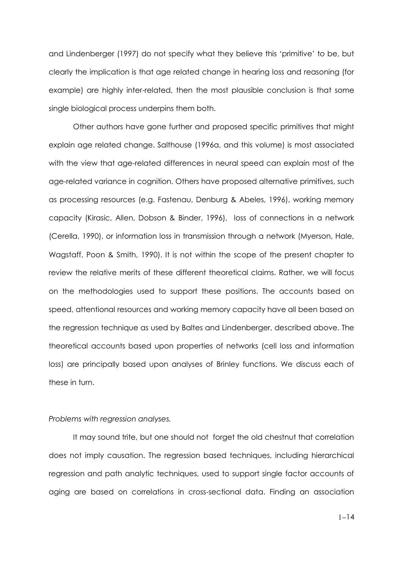and Lindenberger (1997) do not specify what they believe this "primitive" to be, but clearly the implication is that age related change in hearing loss and reasoning (for example) are highly inter-related, then the most plausible conclusion is that some single biological process underpins them both.

Other authors have gone further and proposed specific primitives that might explain age related change. Salthouse (1996a, and this volume) is most associated with the view that age-related differences in neural speed can explain most of the age-related variance in cognition. Others have proposed alternative primitives, such as processing resources (e.g. Fastenau, Denburg & Abeles, 1996), working memory capacity (Kirasic, Allen, Dobson & Binder, 1996), loss of connections in a network (Cerella, 1990), or information loss in transmission through a network (Myerson, Hale, Wagstaff, Poon & Smith, 1990). It is not within the scope of the present chapter to review the relative merits of these different theoretical claims. Rather, we will focus on the methodologies used to support these positions. The accounts based on speed, attentional resources and working memory capacity have all been based on the regression technique as used by Baltes and Lindenberger, described above. The theoretical accounts based upon properties of networks (cell loss and information loss) are principally based upon analyses of Brinley functions. We discuss each of these in turn.

#### *Problems with regression analyses.*

It may sound trite, but one should not forget the old chestnut that correlation does not imply causation. The regression based techniques, including hierarchical regression and path analytic techniques, used to support single factor accounts of aging are based on correlations in cross-sectional data. Finding an association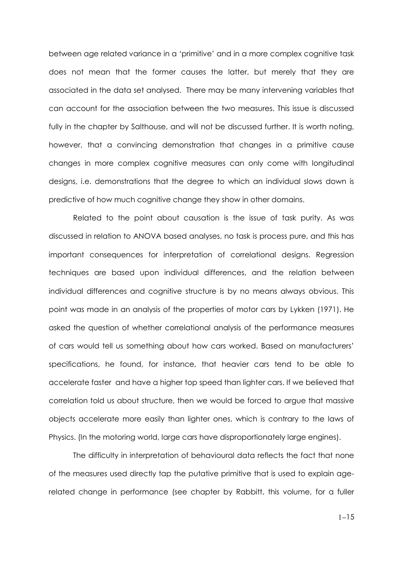between age related variance in a "primitive" and in a more complex cognitive task does not mean that the former causes the latter, but merely that they are associated in the data set analysed. There may be many intervening variables that can account for the association between the two measures. This issue is discussed fully in the chapter by Salthouse, and will not be discussed further. It is worth noting, however, that a convincing demonstration that changes in a primitive cause changes in more complex cognitive measures can only come with longitudinal designs, i.e. demonstrations that the degree to which an individual slows down is predictive of how much cognitive change they show in other domains.

Related to the point about causation is the issue of task purity. As was discussed in relation to ANOVA based analyses, no task is process pure, and this has important consequences for interpretation of correlational designs. Regression techniques are based upon individual differences, and the relation between individual differences and cognitive structure is by no means always obvious. This point was made in an analysis of the properties of motor cars by Lykken (1971). He asked the question of whether correlational analysis of the performance measures of cars would tell us something about how cars worked. Based on manufacturers" specifications, he found, for instance, that heavier cars tend to be able to accelerate faster and have a higher top speed than lighter cars. If we believed that correlation told us about structure, then we would be forced to argue that massive objects accelerate more easily than lighter ones, which is contrary to the laws of Physics. (In the motoring world, large cars have disproportionately large engines).

The difficulty in interpretation of behavioural data reflects the fact that none of the measures used directly tap the putative primitive that is used to explain agerelated change in performance (see chapter by Rabbitt, this volume, for a fuller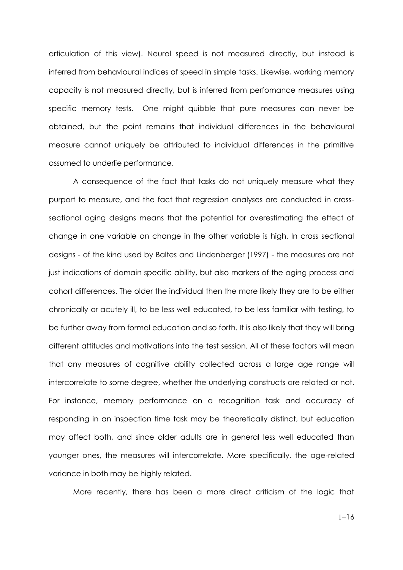articulation of this view). Neural speed is not measured directly, but instead is inferred from behavioural indices of speed in simple tasks. Likewise, working memory capacity is not measured directly, but is inferred from perfomance measures using specific memory tests. One might quibble that pure measures can never be obtained, but the point remains that individual differences in the behavioural measure cannot uniquely be attributed to individual differences in the primitive assumed to underlie performance.

A consequence of the fact that tasks do not uniquely measure what they purport to measure, and the fact that regression analyses are conducted in crosssectional aging designs means that the potential for overestimating the effect of change in one variable on change in the other variable is high. In cross sectional designs - of the kind used by Baltes and Lindenberger (1997) - the measures are not just indications of domain specific ability, but also markers of the aging process and cohort differences. The older the individual then the more likely they are to be either chronically or acutely ill, to be less well educated, to be less familiar with testing, to be further away from formal education and so forth. It is also likely that they will bring different attitudes and motivations into the test session. All of these factors will mean that any measures of cognitive ability collected across a large age range will intercorrelate to some degree, whether the underlying constructs are related or not. For instance, memory performance on a recognition task and accuracy of responding in an inspection time task may be theoretically distinct, but education may affect both, and since older adults are in general less well educated than younger ones, the measures will intercorrelate. More specifically, the age-related variance in both may be highly related.

More recently, there has been a more direct criticism of the logic that

 $1 - 16$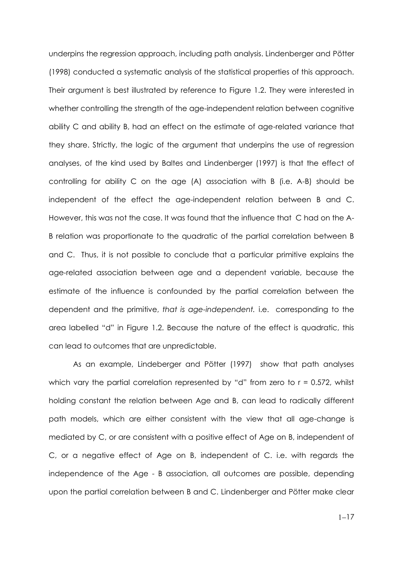underpins the regression approach, including path analysis. Lindenberger and Pötter (1998) conducted a systematic analysis of the statistical properties of this approach. Their argument is best illustrated by reference to Figure 1.2. They were interested in whether controlling the strength of the age-independent relation between cognitive ability C and ability B, had an effect on the estimate of age-related variance that they share. Strictly, the logic of the argument that underpins the use of regression analyses, of the kind used by Baltes and Lindenberger (1997) is that the effect of controlling for ability C on the age (A) association with B (i.e. A-B) should be independent of the effect the age-independent relation between B and C. However, this was not the case. It was found that the influence that C had on the A-B relation was proportionate to the quadratic of the partial correlation between B and C. Thus, it is not possible to conclude that a particular primitive explains the age-related association between age and a dependent variable, because the estimate of the influence is confounded by the partial correlation between the dependent and the primitive, *that is age-independent.* i.e. corresponding to the area labelled "d" in Figure 1.2. Because the nature of the effect is quadratic, this can lead to outcomes that are unpredictable.

As an example, Lindeberger and Pötter (1997) show that path analyses which vary the partial correlation represented by "d" from zero to  $r = 0.572$ , whilst holding constant the relation between Age and B, can lead to radically different path models, which are either consistent with the view that all age-change is mediated by C, or are consistent with a positive effect of Age on B, independent of C, or a negative effect of Age on B, independent of C. i.e. with regards the independence of the Age - B association, all outcomes are possible, depending upon the partial correlation between B and C. Lindenberger and Pötter make clear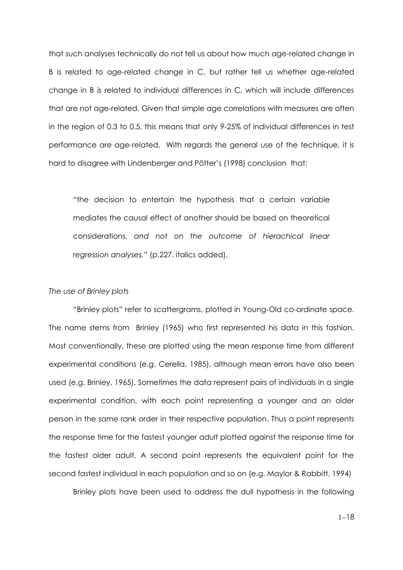that such analyses technically do not tell us about how much age-related change in B is related to age-related change in C, but rather tell us whether age-related change in B is related to individual differences in C, which will include differences that are not age-related. Given that simple age correlations with measures are often in the region of 0.3 to 0.5, this means that only 9-25% of individual differences in test performance are age-related. With regards the general use of the technique, it is hard to disagree with Lindenberger and Pötter"s (1998) conclusion that:

"the decision to entertain the hypothesis that a certain variable mediates the causal effect of another should be based on theoretical considerations, *and not on the outcome of hierachical linear regression analyses."* (p.227, italics added).

#### *The use of Brinley plots*

"Brinley plots" refer to scattergrams, plotted in Young-Old co-ordinate space. The name stems from Brinley (1965) who first represented his data in this fashion. Most conventionally, these are plotted using the mean response time from different experimental conditions (e.g. Cerella, 1985), although mean errors have also been used (e.g. Brinley, 1965). Sometimes the data represent pairs of individuals in a single experimental condition, with each point representing a younger and an older person in the same rank order in their respective population. Thus a point represents the response time for the fastest younger adult plotted against the response time for the fastest older adult. A second point represents the equivalent point for the second fastest individual in each population and so on (e.g. Maylor & Rabbitt, 1994)

Brinley plots have been used to address the dull hypothesis in the following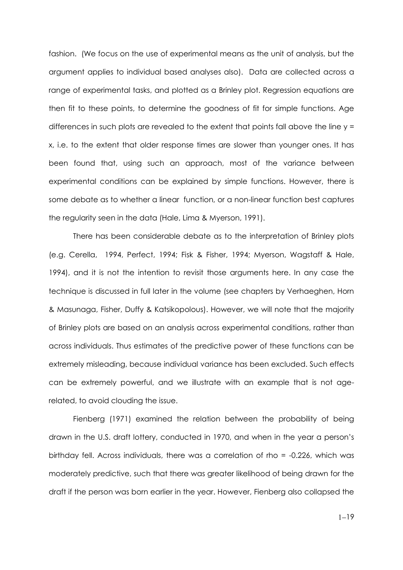fashion. (We focus on the use of experimental means as the unit of analysis, but the argument applies to individual based analyses also). Data are collected across a range of experimental tasks, and plotted as a Brinley plot. Regression equations are then fit to these points, to determine the goodness of fit for simple functions. Age differences in such plots are revealed to the extent that points fall above the line y = x, i.e. to the extent that older response times are slower than younger ones. It has been found that, using such an approach, most of the variance between experimental conditions can be explained by simple functions. However, there is some debate as to whether a linear function, or a non-linear function best captures the regularity seen in the data (Hale, Lima & Myerson, 1991).

There has been considerable debate as to the interpretation of Brinley plots (e.g. Cerella, 1994, Perfect, 1994; Fisk & Fisher, 1994; Myerson, Wagstaff & Hale, 1994), and it is not the intention to revisit those arguments here. In any case the technique is discussed in full later in the volume (see chapters by Verhaeghen, Horn & Masunaga, Fisher, Duffy & Katsikopolous). However, we will note that the majority of Brinley plots are based on an analysis across experimental conditions, rather than across individuals. Thus estimates of the predictive power of these functions can be extremely misleading, because individual variance has been excluded. Such effects can be extremely powerful, and we illustrate with an example that is not agerelated, to avoid clouding the issue.

Fienberg (1971) examined the relation between the probability of being drawn in the U.S. draft lottery, conducted in 1970, and when in the year a person"s birthday fell. Across individuals, there was a correlation of rho = -0.226, which was moderately predictive, such that there was greater likelihood of being drawn for the draft if the person was born earlier in the year. However, Fienberg also collapsed the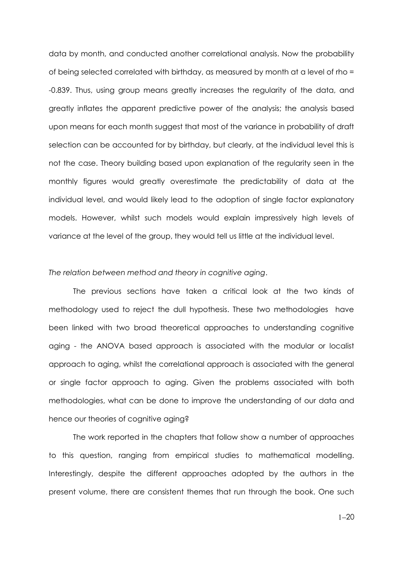data by month, and conducted another correlational analysis. Now the probability of being selected correlated with birthday, as measured by month at a level of rho = -0.839. Thus, using group means greatly increases the regularity of the data, and greatly inflates the apparent predictive power of the analysis; the analysis based upon means for each month suggest that most of the variance in probability of draft selection can be accounted for by birthday, but clearly, at the individual level this is not the case. Theory building based upon explanation of the regularity seen in the monthly figures would greatly overestimate the predictability of data at the individual level, and would likely lead to the adoption of single factor explanatory models. However, whilst such models would explain impressively high levels of variance at the level of the group, they would tell us little at the individual level.

#### *The relation between method and theory in cognitive aging*.

The previous sections have taken a critical look at the two kinds of methodology used to reject the dull hypothesis. These two methodologies have been linked with two broad theoretical approaches to understanding cognitive aging - the ANOVA based approach is associated with the modular or localist approach to aging, whilst the correlational approach is associated with the general or single factor approach to aging. Given the problems associated with both methodologies, what can be done to improve the understanding of our data and hence our theories of cognitive aging?

The work reported in the chapters that follow show a number of approaches to this question, ranging from empirical studies to mathematical modelling. Interestingly, despite the different approaches adopted by the authors in the present volume, there are consistent themes that run through the book. One such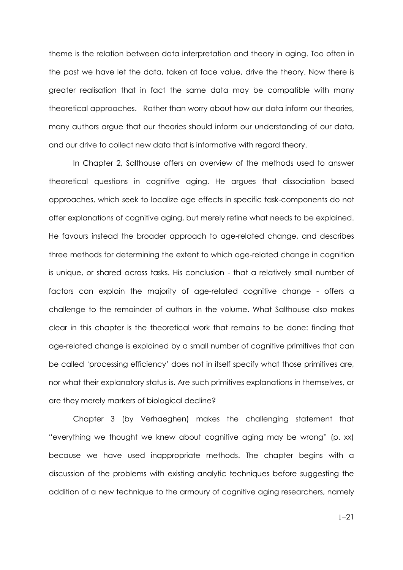theme is the relation between data interpretation and theory in aging. Too often in the past we have let the data, taken at face value, drive the theory. Now there is greater realisation that in fact the same data may be compatible with many theoretical approaches. Rather than worry about how our data inform our theories, many authors argue that our theories should inform our understanding of our data, and our drive to collect new data that is informative with regard theory.

In Chapter 2, Salthouse offers an overview of the methods used to answer theoretical questions in cognitive aging. He argues that dissociation based approaches, which seek to localize age effects in specific task-components do not offer explanations of cognitive aging, but merely refine what needs to be explained. He favours instead the broader approach to age-related change, and describes three methods for determining the extent to which age-related change in cognition is unique, or shared across tasks. His conclusion - that a relatively small number of factors can explain the majority of age-related cognitive change - offers a challenge to the remainder of authors in the volume. What Salthouse also makes clear in this chapter is the theoretical work that remains to be done: finding that age-related change is explained by a small number of cognitive primitives that can be called "processing efficiency" does not in itself specify what those primitives are, nor what their explanatory status is. Are such primitives explanations in themselves, or are they merely markers of biological decline?

Chapter 3 (by Verhaeghen) makes the challenging statement that "everything we thought we knew about cognitive aging may be wrong" (p. xx) because we have used inappropriate methods. The chapter begins with a discussion of the problems with existing analytic techniques before suggesting the addition of a new technique to the armoury of cognitive aging researchers, namely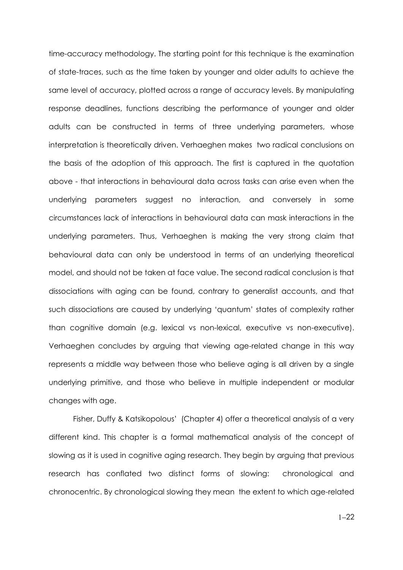time-accuracy methodology. The starting point for this technique is the examination of state-traces, such as the time taken by younger and older adults to achieve the same level of accuracy, plotted across a range of accuracy levels. By manipulating response deadlines, functions describing the performance of younger and older adults can be constructed in terms of three underlying parameters, whose interpretation is theoretically driven. Verhaeghen makes two radical conclusions on the basis of the adoption of this approach. The first is captured in the quotation above - that interactions in behavioural data across tasks can arise even when the underlying parameters suggest no interaction, and conversely in some circumstances lack of interactions in behavioural data can mask interactions in the underlying parameters. Thus, Verhaeghen is making the very strong claim that behavioural data can only be understood in terms of an underlying theoretical model, and should not be taken at face value. The second radical conclusion is that dissociations with aging can be found, contrary to generalist accounts, and that such dissociations are caused by underlying "quantum" states of complexity rather than cognitive domain (e.g. lexical vs non-lexical, executive vs non-executive). Verhaeghen concludes by arguing that viewing age-related change in this way represents a middle way between those who believe aging is all driven by a single underlying primitive, and those who believe in multiple independent or modular changes with age.

Fisher, Duffy & Katsikopolous" (Chapter 4) offer a theoretical analysis of a very different kind. This chapter is a formal mathematical analysis of the concept of slowing as it is used in cognitive aging research. They begin by arguing that previous research has conflated two distinct forms of slowing: chronological and chronocentric. By chronological slowing they mean the extent to which age-related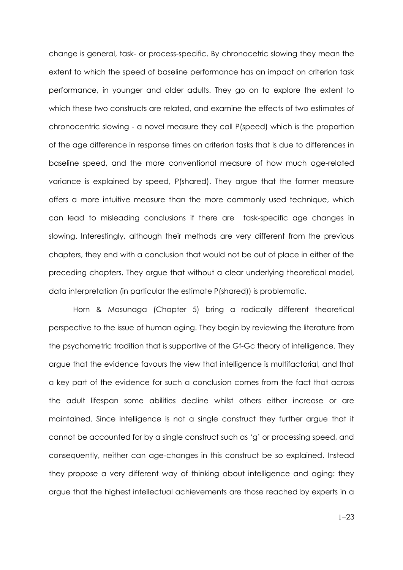change is general, task- or process-specific. By chronocetric slowing they mean the extent to which the speed of baseline performance has an impact on criterion task performance, in younger and older adults. They go on to explore the extent to which these two constructs are related, and examine the effects of two estimates of chronocentric slowing - a novel measure they call P(speed) which is the proportion of the age difference in response times on criterion tasks that is due to differences in baseline speed, and the more conventional measure of how much age-related variance is explained by speed, P(shared). They argue that the former measure offers a more intuitive measure than the more commonly used technique, which can lead to misleading conclusions if there are task-specific age changes in slowing. Interestingly, although their methods are very different from the previous chapters, they end with a conclusion that would not be out of place in either of the preceding chapters. They argue that without a clear underlying theoretical model, data interpretation (in particular the estimate P(shared)) is problematic.

Horn & Masunaga (Chapter 5) bring a radically different theoretical perspective to the issue of human aging. They begin by reviewing the literature from the psychometric tradition that is supportive of the Gf-Gc theory of intelligence. They argue that the evidence favours the view that intelligence is multifactorial, and that a key part of the evidence for such a conclusion comes from the fact that across the adult lifespan some abilities decline whilst others either increase or are maintained. Since intelligence is not a single construct they further argue that it cannot be accounted for by a single construct such as "g" or processing speed, and consequently, neither can age-changes in this construct be so explained. Instead they propose a very different way of thinking about intelligence and aging: they argue that the highest intellectual achievements are those reached by experts in a

 $1 - 23$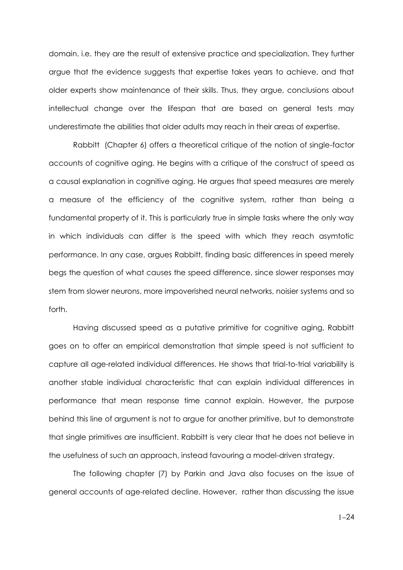domain. i.e. they are the result of extensive practice and specialization. They further argue that the evidence suggests that expertise takes years to achieve, and that older experts show maintenance of their skills. Thus, they argue, conclusions about intellectual change over the lifespan that are based on general tests may underestimate the abilities that older adults may reach in their areas of expertise.

Rabbitt (Chapter 6) offers a theoretical critique of the notion of single-factor accounts of cognitive aging. He begins with a critique of the construct of speed as a causal explanation in cognitive aging. He argues that speed measures are merely a measure of the efficiency of the cognitive system, rather than being a fundamental property of it. This is particularly true in simple tasks where the only way in which individuals can differ is the speed with which they reach asymtotic performance. In any case, argues Rabbitt, finding basic differences in speed merely begs the question of what causes the speed difference, since slower responses may stem from slower neurons, more impoverished neural networks, noisier systems and so forth.

Having discussed speed as a putative primitive for cognitive aging, Rabbitt goes on to offer an empirical demonstration that simple speed is not sufficient to capture all age-related individual differences. He shows that trial-to-trial variability is another stable individual characteristic that can explain individual differences in performance that mean response time cannot explain. However, the purpose behind this line of argument is not to argue for another primitive, but to demonstrate that single primitives are insufficient. Rabbitt is very clear that he does not believe in the usefulness of such an approach, instead favouring a model-driven strategy.

The following chapter (7) by Parkin and Java also focuses on the issue of general accounts of age-related decline. However, rather than discussing the issue

 $1 - 24$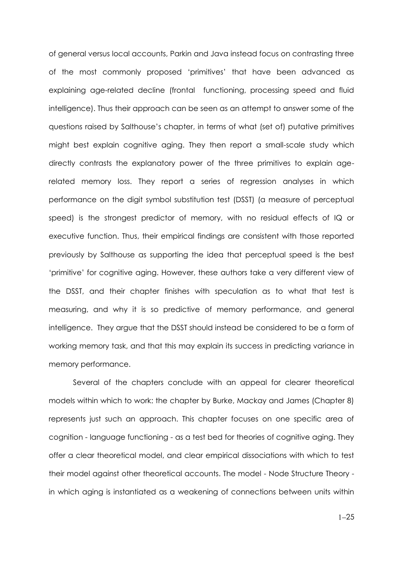of general versus local accounts, Parkin and Java instead focus on contrasting three of the most commonly proposed "primitives" that have been advanced as explaining age-related decline (frontal functioning, processing speed and fluid intelligence). Thus their approach can be seen as an attempt to answer some of the questions raised by Salthouse"s chapter, in terms of what (set of) putative primitives might best explain cognitive aging. They then report a small-scale study which directly contrasts the explanatory power of the three primitives to explain agerelated memory loss. They report a series of regression analyses in which performance on the digit symbol substitution test (DSST) (a measure of perceptual speed) is the strongest predictor of memory, with no residual effects of IQ or executive function. Thus, their empirical findings are consistent with those reported previously by Salthouse as supporting the idea that perceptual speed is the best "primitive" for cognitive aging. However, these authors take a very different view of the DSST, and their chapter finishes with speculation as to what that test is measuring, and why it is so predictive of memory performance, and general intelligence. They argue that the DSST should instead be considered to be a form of working memory task, and that this may explain its success in predicting variance in memory performance.

Several of the chapters conclude with an appeal for clearer theoretical models within which to work: the chapter by Burke, Mackay and James (Chapter 8) represents just such an approach. This chapter focuses on one specific area of cognition - language functioning - as a test bed for theories of cognitive aging. They offer a clear theoretical model, and clear empirical dissociations with which to test their model against other theoretical accounts. The model - Node Structure Theory in which aging is instantiated as a weakening of connections between units within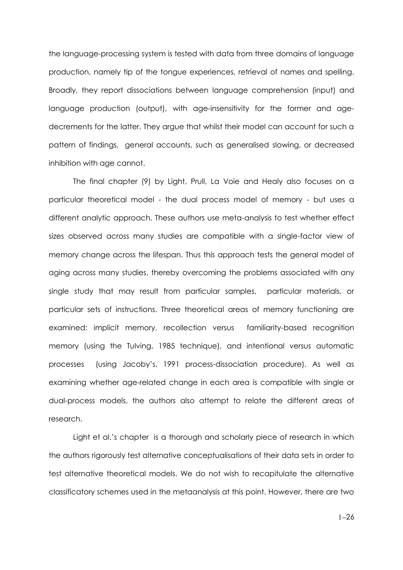the language-processing system is tested with data from three domains of language production, namely tip of the tongue experiences, retrieval of names and spelling. Broadly, they report dissociations between language comprehension (input) and language production (output), with age-insensitivity for the former and agedecrements for the latter. They argue that whilst their model can account for such a pattern of findings, general accounts, such as generalised slowing, or decreased inhibition with age cannot.

The final chapter (9) by Light, Prull, La Voie and Healy also focuses on a particular theoretical model - the dual process model of memory - but uses a different analytic approach. These authors use meta-analysis to test whether effect sizes observed across many studies are compatible with a single-factor view of memory change across the lifespan. Thus this approach tests the general model of aging across many studies, thereby overcoming the problems associated with any single study that may result from particular samples, particular materials, or particular sets of instructions. Three theoretical areas of memory functioning are examined: implicit memory, recollection versus familiarity-based recognition memory (using the Tulving, 1985 technique), and intentional versus automatic processes (using Jacoby"s, 1991 process-dissociation procedure). As well as examining whether age-related change in each area is compatible with single or dual-process models, the authors also attempt to relate the different areas of research.

Light et al."s chapter is a thorough and scholarly piece of research in which the authors rigorously test alternative conceptualisations of their data sets in order to test alternative theoretical models. We do not wish to recapitulate the alternative classificatory schemes used in the metaanalysis at this point. However, there are two

 $1 - 26$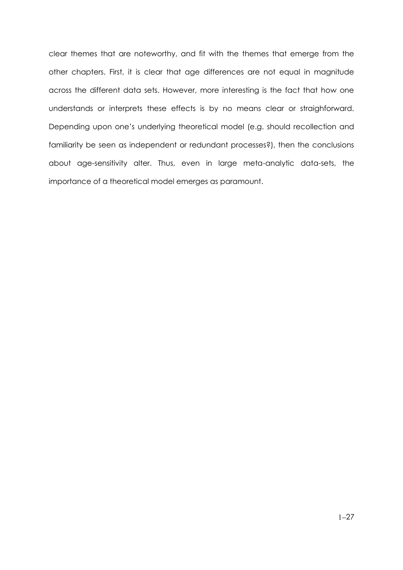clear themes that are noteworthy, and fit with the themes that emerge from the other chapters. First, it is clear that age differences are not equal in magnitude across the different data sets. However, more interesting is the fact that how one understands or interprets these effects is by no means clear or straighforward. Depending upon one"s underlying theoretical model (e.g. should recollection and familiarity be seen as independent or redundant processes?), then the conclusions about age-sensitivity alter. Thus, even in large meta-analytic data-sets, the importance of a theoretical model emerges as paramount.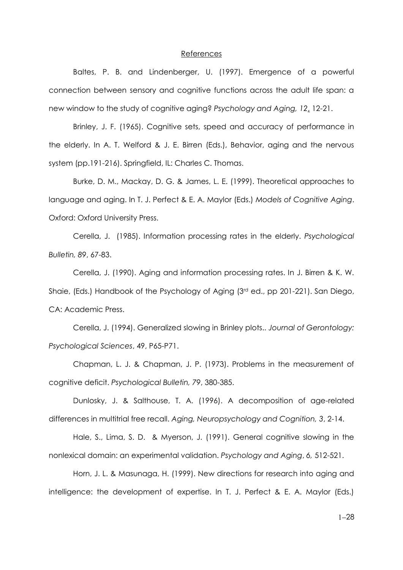#### References

Baltes, P. B. and Lindenberger, U. (1997). Emergence of a powerful connection between sensory and cognitive functions across the adult life span: a new window to the study of cognitive aging? *Psychology and Aging, 12*, 12-21.

Brinley, J. F. (1965). Cognitive sets, speed and accuracy of performance in the elderly. In A. T. Welford & J. E. Birren (Eds.), Behavior, aging and the nervous system (pp.191-216). Springfield, IL: Charles C. Thomas.

Burke, D. M., Mackay, D. G. & James, L. E. (1999). Theoretical approaches to language and aging. In T. J. Perfect & E. A. Maylor (Eds.) *Models of Cognitive Aging*. Oxford: Oxford University Press.

Cerella, J. (1985). Information processing rates in the elderly. *Psychological Bulletin, 89*, 67-83.

Cerella, J. (1990). Aging and information processing rates. In J. Birren & K. W. Shaie, (Eds.) Handbook of the Psychology of Aging (3rd ed., pp 201-221). San Diego, CA: Academic Press.

Cerella, J. (1994). Generalized slowing in Brinley plots.. *Journal of Gerontology: Psychological Sciences*, 49, P65-P71.

Chapman, L. J. & Chapman, J. P. (1973). Problems in the measurement of cognitive deficit. *Psychological Bulletin, 79*, 380-385.

Dunlosky, J. & Salthouse, T. A. (1996). A decomposition of age-related differences in multitrial free recall. *Aging, Neuropsychology and Cognition, 3*, 2-14.

Hale, S., Lima, S. D. & Myerson, J. (1991). General cognitive slowing in the nonlexical domain: an experimental validation. *Psychology and Aging*, *6,* 512-521.

Horn, J. L. & Masunaga, H. (1999). New directions for research into aging and intelligence: the development of expertise. In T. J. Perfect & E. A. Maylor (Eds.)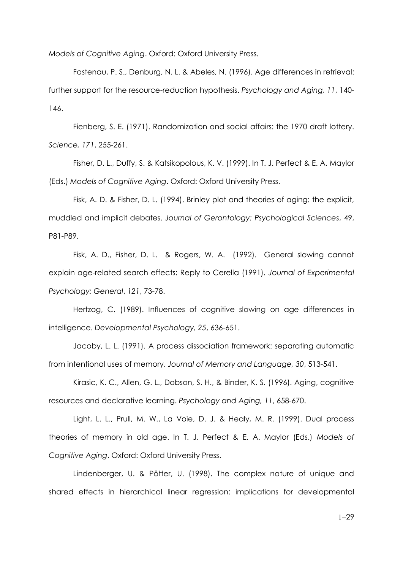*Models of Cognitive Aging*. Oxford: Oxford University Press.

Fastenau, P. S., Denburg, N. L. & Abeles, N. (1996). Age differences in retrieval: further support for the resource-reduction hypothesis. *Psychology and Aging, 11*, 140- 146.

Fienberg, S. E. (1971). Randomization and social affairs: the 1970 draft lottery. *Science, 171*, 255-261.

Fisher, D. L., Duffy, S. & Katsikopolous, K. V. (1999). In T. J. Perfect & E. A. Maylor (Eds.) *Models of Cognitive Aging*. Oxford: Oxford University Press.

Fisk, A. D. & Fisher, D. L. (1994). Brinley plot and theories of aging: the explicit, muddled and implicit debates. *Journal of Gerontology: Psychological Sciences*, 49, P81-P89.

Fisk, A. D., Fisher, D. L. & Rogers, W. A. (1992). General slowing cannot explain age-related search effects: Reply to Cerella (1991). *Journal of Experimental Psychology: General*, *121*, 73-78.

Hertzog, C. (1989). Influences of cognitive slowing on age differences in intelligence. *Developmental Psychology, 25*, 636-651.

Jacoby, L. L. (1991). A process dissociation framework: separating automatic from intentional uses of memory. *Journal of Memory and Language, 30*, 513-541.

Kirasic, K. C., Allen, G. L., Dobson, S. H., & Binder, K. S. (1996). Aging, cognitive resources and declarative learning. *Psychology and Aging, 11*, 658-670.

Light, L. L., Prull, M. W., La Voie, D. J. & Healy, M. R. (1999). Dual process theories of memory in old age. In T. J. Perfect & E. A. Maylor (Eds.) *Models of Cognitive Aging*. Oxford: Oxford University Press.

Lindenberger, U. & Pötter, U. (1998). The complex nature of unique and shared effects in hierarchical linear regression: implications for developmental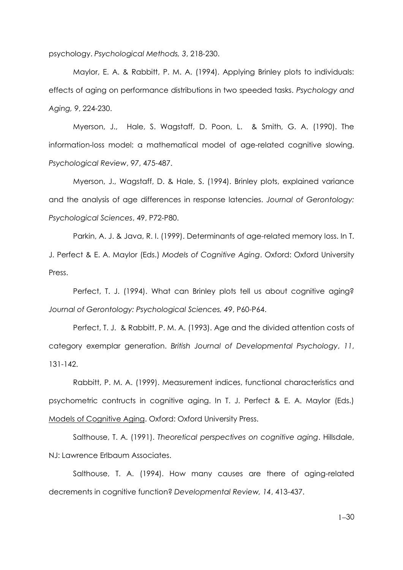psychology. *Psychological Methods, 3*, 218-230.

Maylor, E. A. & Rabbitt, P. M. A. (1994). Applying Brinley plots to individuals: effects of aging on performance distributions in two speeded tasks. *Psychology and Aging, 9*, 224-230.

Myerson, J., Hale, S. Wagstaff, D. Poon, L. & Smith, G. A. (1990). The information-loss model: a mathematical model of age-related cognitive slowing. *Psychological Review*, *97*, 475-487.

Myerson, J., Wagstaff, D. & Hale, S. (1994). Brinley plots, explained variance and the analysis of age differences in response latencies. *Journal of Gerontology: Psychological Sciences*, 49, P72-P80.

Parkin, A. J. & Java, R. I. (1999). Determinants of age-related memory loss. In T. J. Perfect & E. A. Maylor (Eds.) *Models of Cognitive Aging*. Oxford: Oxford University Press.

Perfect, T. J. (1994). What can Brinley plots tell us about cognitive aging? *Journal of Gerontology: Psychological Sciences, 49*, P60-P64.

Perfect, T. J. & Rabbitt, P. M. A. (1993). Age and the divided attention costs of category exemplar generation. *British Journal of Developmental Psychology*, *11*, 131-142.

Rabbitt, P. M. A. (1999). Measurement indices, functional characteristics and psychometric contructs in cognitive aging. In T. J. Perfect & E. A. Maylor (Eds.) Models of Cognitive Aging. Oxford: Oxford University Press.

Salthouse, T. A. (1991). *Theoretical perspectives on cognitive aging*. Hillsdale, NJ: Lawrence Erlbaum Associates.

Salthouse, T. A. (1994). How many causes are there of aging-related decrements in cognitive function? *Developmental Review, 14*, 413-437.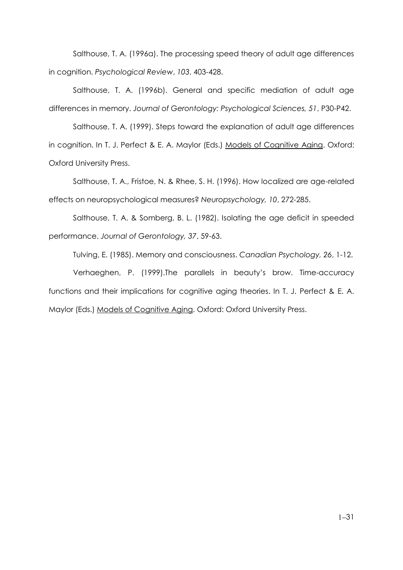Salthouse, T. A. (1996a). The processing speed theory of adult age differences in cognition. *Psychological Review*, *103*, 403-428.

Salthouse, T. A. (1996b). General and specific mediation of adult age differences in memory. *Journal of Gerontology: Psychological Sciences, 51*, P30-P42.

Salthouse, T. A. (1999). Steps toward the explanation of adult age differences in cognition. In T. J. Perfect & E. A. Maylor (Eds.) Models of Cognitive Aging. Oxford: Oxford University Press.

Salthouse, T. A., Fristoe, N. & Rhee, S. H. (1996). How localized are age-related effects on neuropsychological measures? *Neuropsychology, 10*, 272-285.

Salthouse, T. A. & Somberg, B. L. (1982). Isolating the age deficit in speeded performance. *Journal of Gerontology, 37*, 59-63.

Tulving, E. (1985). Memory and consciousness. *Canadian Psychology, 26*, 1-12.

Verhaeghen, P. (1999).The parallels in beauty"s brow. Time-accuracy functions and their implications for cognitive aging theories. In T. J. Perfect & E. A. Maylor (Eds.) Models of Cognitive Aging. Oxford: Oxford University Press.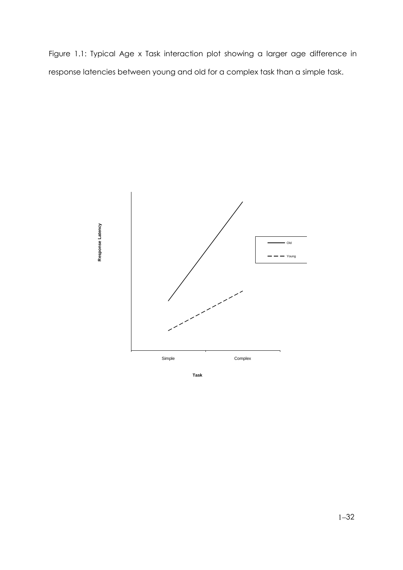Figure 1.1: Typical Age x Task interaction plot showing a larger age difference in response latencies between young and old for a complex task than a simple task.



**Task**